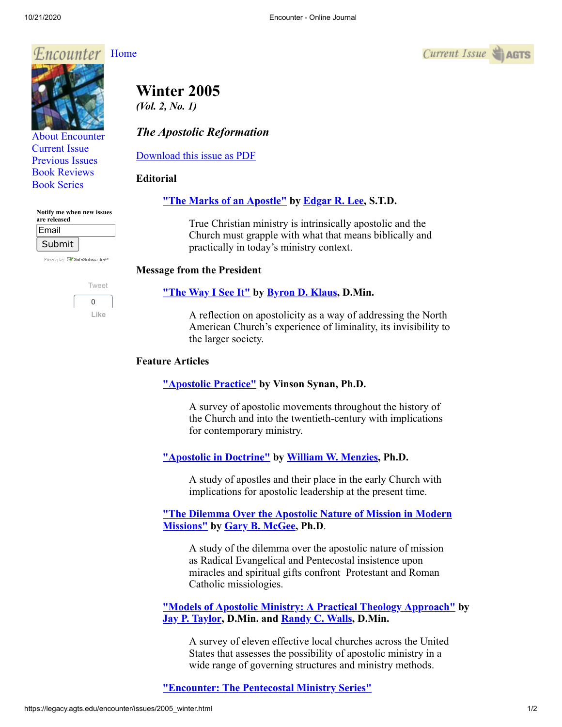

[About Encounter](http://legacy.agts.edu/encounter/about.html) [Current Issue](http://legacy.agts.edu/encounter/current.html) [Previous Issues](http://legacy.agts.edu/encounter/previous.html) [Book Reviews](http://legacy.agts.edu/encounter/book_reviews.html)



[Book Series](http://legacy.agts.edu/encounter/resources.html)

| Notify me when new issues<br>are released |  |
|-------------------------------------------|--|
| Email                                     |  |
| Submit                                    |  |

Privacy by **X SafeSubscribe**<sup>5</sup>



# **Winter 2005** *(Vol. 2, No. 1)*

# *The Apostolic Reformation*

[Download this issue as PDF](https://legacy.agts.edu/encounter/issues/encounter2005winter.pdf)

## **Editorial**

## **["The Marks of an Apostle"](https://legacy.agts.edu/encounter/articles/2005_winter/editorial.htm) by Edgar [R. Lee,](http://legacy.agts.edu/faculty/lee.html) S.T.D.**

True Christian ministry is intrinsically apostolic and the Church must grapple with what that means biblically and practically in today's ministry context.

## **Message from the President**

## **["The Way I See It"](https://legacy.agts.edu/encounter/articles/2005_winter/klaus.htm) by [Byron D. Klaus](http://legacy.agts.edu/faculty/klaus.html), D.Min.**

A reflection on apostolicity as a way of addressing the North American Church's experience of liminality, its invisibility to the larger society.

## **Feature Articles**

# **["Apostolic Practice"](https://legacy.agts.edu/encounter/articles/2005_winter/synan.htm) by Vinson Synan, Ph.D.**

A survey of apostolic movements throughout the history of the Church and into the twentieth-century with implications for contemporary ministry.

# **["Apostolic in Doctrine"](https://legacy.agts.edu/encounter/articles/2005_winter/menzies.htm) by [William W. Menzies,](http://legacy.agts.edu/faculty/adjunct_faculty.html#williammenzies) Ph.D.**

A study of apostles and their place in the early Church with implications for apostolic leadership at the present time.

#### **["The Dilemma Over the Apostolic Nature of Mission in Modern](https://legacy.agts.edu/encounter/articles/2005_winter/mcgee.htm) Missions" by [Gary B. McGee,](http://legacy.agts.edu/faculty/mcgee.html) Ph.D**.

A study of the dilemma over the apostolic nature of mission as Radical Evangelical and Pentecostal insistence upon miracles and spiritual gifts confront Protestant and Roman Catholic missiologies.

**["Models of Apostolic Ministry: A Practical Theology Approach"](https://legacy.agts.edu/encounter/articles/2005_winter/walls.htm) by [Jay P. Taylor](http://legacy.agts.edu/faculty/taylor.html), D.Min. and [Randy C. Walls,](http://legacy.agts.edu/faculty/adjunct_faculty.html#randywalls) D.Min.**

A survey of eleven effective local churches across the United States that assesses the possibility of apostolic ministry in a wide range of governing structures and ministry methods.

# **["Encounter: The Pentecostal Ministry Series"](https://legacy.agts.edu/encounter/articles/2005_winter/new_book_series.htm)**